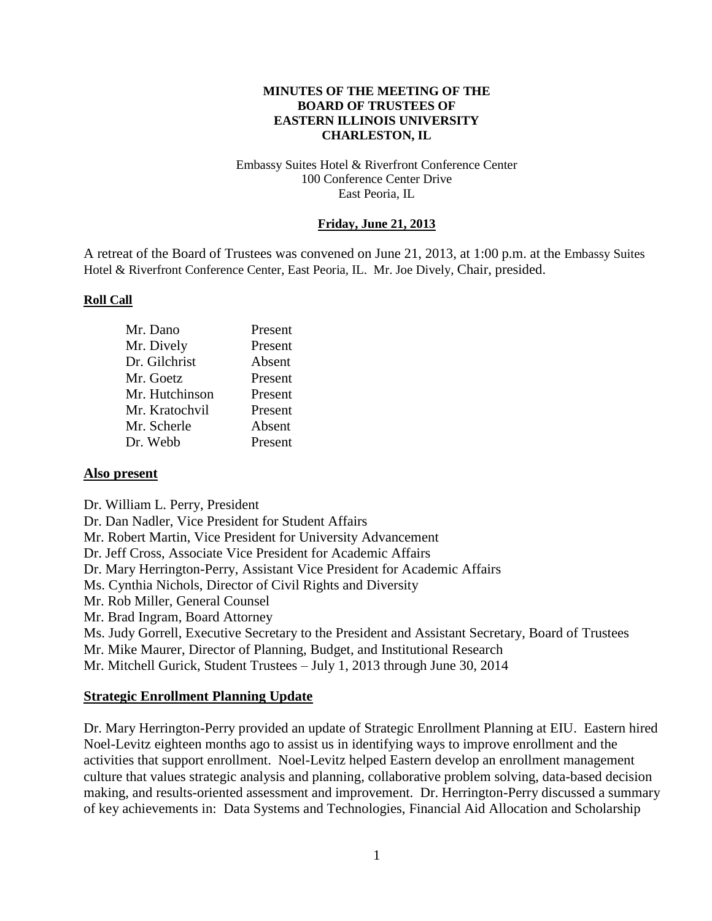#### **MINUTES OF THE MEETING OF THE BOARD OF TRUSTEES OF EASTERN ILLINOIS UNIVERSITY CHARLESTON, IL**

#### Embassy Suites Hotel & Riverfront Conference Center 100 Conference Center Drive East Peoria, IL

### **Friday, June 21, 2013**

A retreat of the Board of Trustees was convened on June 21, 2013, at 1:00 p.m. at the Embassy Suites Hotel & Riverfront Conference Center, East Peoria, IL. Mr. Joe Dively, Chair, presided.

#### **Roll Call**

| Mr. Dano       | Present |
|----------------|---------|
| Mr. Dively     | Present |
| Dr. Gilchrist  | Absent  |
| Mr. Goetz      | Present |
| Mr. Hutchinson | Present |
| Mr. Kratochvil | Present |
| Mr. Scherle    | Absent  |
| Dr. Webb       | Present |

### **Also present**

Dr. William L. Perry, President Dr. Dan Nadler, Vice President for Student Affairs Mr. Robert Martin, Vice President for University Advancement Dr. Jeff Cross, Associate Vice President for Academic Affairs Dr. Mary Herrington-Perry, Assistant Vice President for Academic Affairs Ms. Cynthia Nichols, Director of Civil Rights and Diversity Mr. Rob Miller, General Counsel Mr. Brad Ingram, Board Attorney Ms. Judy Gorrell, Executive Secretary to the President and Assistant Secretary, Board of Trustees Mr. Mike Maurer, Director of Planning, Budget, and Institutional Research Mr. Mitchell Gurick, Student Trustees – July 1, 2013 through June 30, 2014

### **Strategic Enrollment Planning Update**

Dr. Mary Herrington-Perry provided an update of Strategic Enrollment Planning at EIU. Eastern hired Noel-Levitz eighteen months ago to assist us in identifying ways to improve enrollment and the activities that support enrollment. Noel-Levitz helped Eastern develop an enrollment management culture that values strategic analysis and planning, collaborative problem solving, data-based decision making, and results-oriented assessment and improvement. Dr. Herrington-Perry discussed a summary of key achievements in: Data Systems and Technologies, Financial Aid Allocation and Scholarship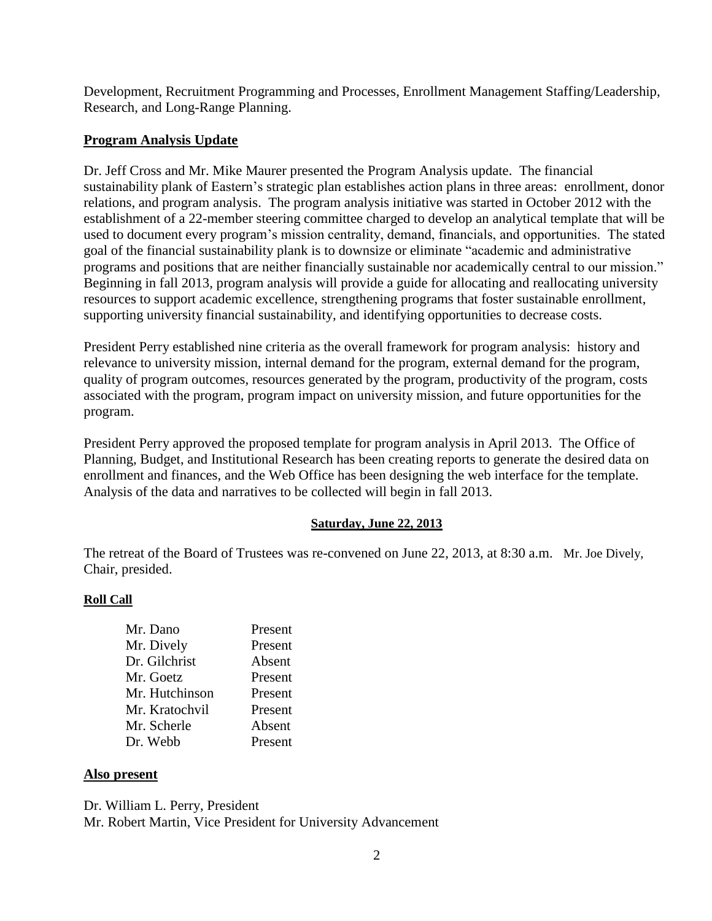Development, Recruitment Programming and Processes, Enrollment Management Staffing/Leadership, Research, and Long-Range Planning.

# **Program Analysis Update**

Dr. Jeff Cross and Mr. Mike Maurer presented the Program Analysis update. The financial sustainability plank of Eastern's strategic plan establishes action plans in three areas: enrollment, donor relations, and program analysis. The program analysis initiative was started in October 2012 with the establishment of a 22-member steering committee charged to develop an analytical template that will be used to document every program's mission centrality, demand, financials, and opportunities. The stated goal of the financial sustainability plank is to downsize or eliminate "academic and administrative programs and positions that are neither financially sustainable nor academically central to our mission." Beginning in fall 2013, program analysis will provide a guide for allocating and reallocating university resources to support academic excellence, strengthening programs that foster sustainable enrollment, supporting university financial sustainability, and identifying opportunities to decrease costs.

President Perry established nine criteria as the overall framework for program analysis: history and relevance to university mission, internal demand for the program, external demand for the program, quality of program outcomes, resources generated by the program, productivity of the program, costs associated with the program, program impact on university mission, and future opportunities for the program.

President Perry approved the proposed template for program analysis in April 2013. The Office of Planning, Budget, and Institutional Research has been creating reports to generate the desired data on enrollment and finances, and the Web Office has been designing the web interface for the template. Analysis of the data and narratives to be collected will begin in fall 2013.

## **Saturday, June 22, 2013**

The retreat of the Board of Trustees was re-convened on June 22, 2013, at 8:30 a.m. Mr. Joe Dively, Chair, presided.

### **Roll Call**

| Mr. Dano       | Present |
|----------------|---------|
| Mr. Dively     | Present |
| Dr. Gilchrist  | Absent  |
| Mr. Goetz      | Present |
| Mr. Hutchinson | Present |
| Mr. Kratochvil | Present |
| Mr. Scherle    | Absent  |
| Dr. Webb       | Present |

### **Also present**

Dr. William L. Perry, President

Mr. Robert Martin, Vice President for University Advancement